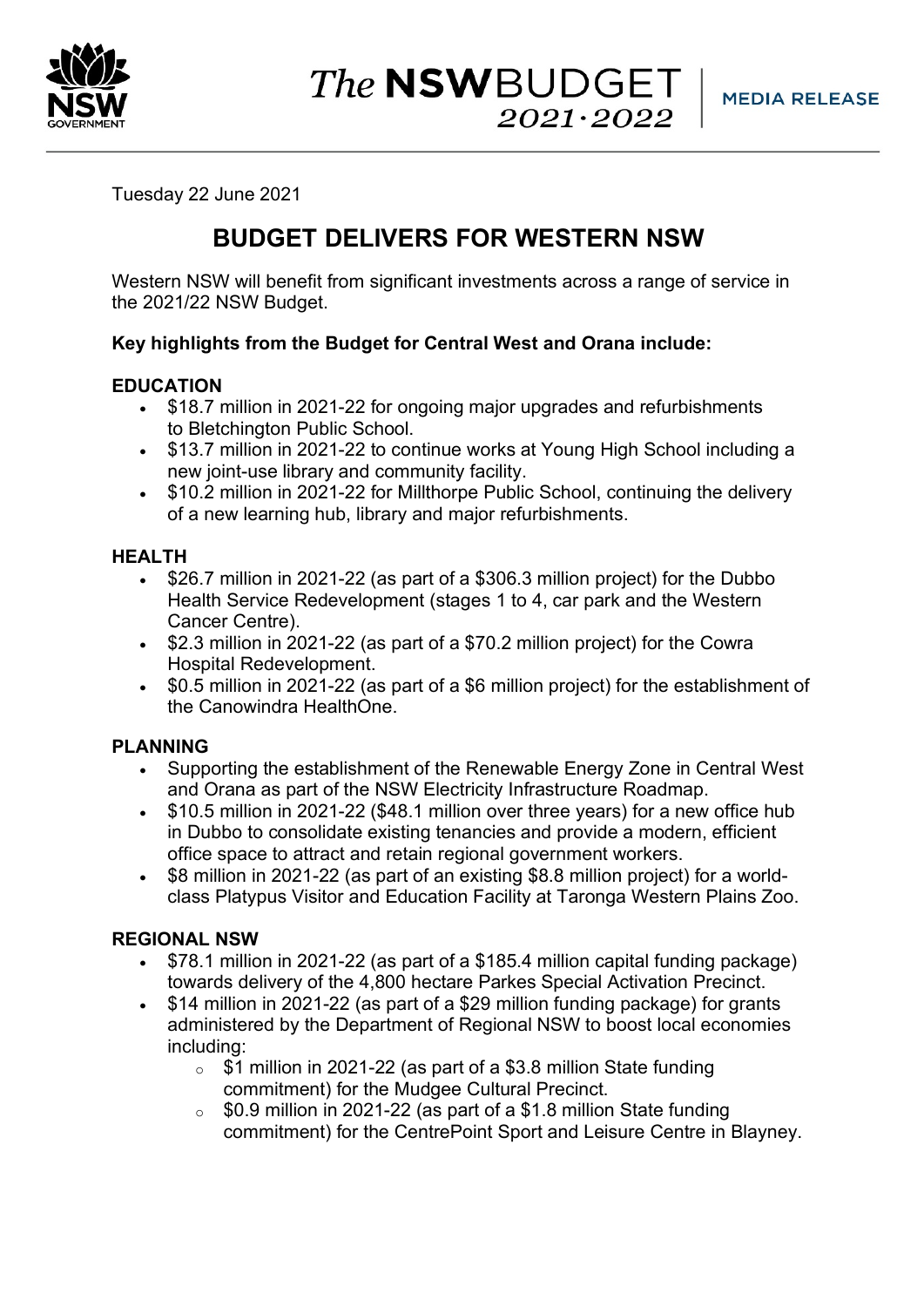

Tuesday 22 June 2021

# **BUDGET DELIVERS FOR WESTERN NSW**

Western NSW will benefit from significant investments across a range of service in the 2021/22 NSW Budget.

# **Key highlights from the Budget for Central West and Orana include:**

## **EDUCATION**

- \$18.7 million in 2021-22 for ongoing major upgrades and refurbishments to Bletchington Public School.
- \$13.7 million in 2021-22 to continue works at Young High School including a new joint-use library and community facility.
- \$10.2 million in 2021-22 for Millthorpe Public School, continuing the delivery of a new learning hub, library and major refurbishments.

# **HEALTH**

- \$26.7 million in 2021-22 (as part of a \$306.3 million project) for the Dubbo Health Service Redevelopment (stages 1 to 4, car park and the Western Cancer Centre).
- \$2.3 million in 2021-22 (as part of a \$70.2 million project) for the Cowra Hospital Redevelopment.
- \$0.5 million in 2021-22 (as part of a \$6 million project) for the establishment of the Canowindra HealthOne.

# **PLANNING**

- Supporting the establishment of the Renewable Energy Zone in Central West and Orana as part of the NSW Electricity Infrastructure Roadmap.
- \$10.5 million in 2021-22 (\$48.1 million over three years) for a new office hub in Dubbo to consolidate existing tenancies and provide a modern, efficient office space to attract and retain regional government workers.
- \$8 million in 2021-22 (as part of an existing \$8.8 million project) for a worldclass Platypus Visitor and Education Facility at Taronga Western Plains Zoo.

# **REGIONAL NSW**

- \$78.1 million in 2021-22 (as part of a \$185.4 million capital funding package) towards delivery of the 4,800 hectare Parkes Special Activation Precinct.
- \$14 million in 2021-22 (as part of a \$29 million funding package) for grants administered by the Department of Regional NSW to boost local economies including:
	- $\circ$  \$1 million in 2021-22 (as part of a \$3.8 million State funding commitment) for the Mudgee Cultural Precinct.
	- $\circ$  \$0.9 million in 2021-22 (as part of a \$1.8 million State funding commitment) for the CentrePoint Sport and Leisure Centre in Blayney.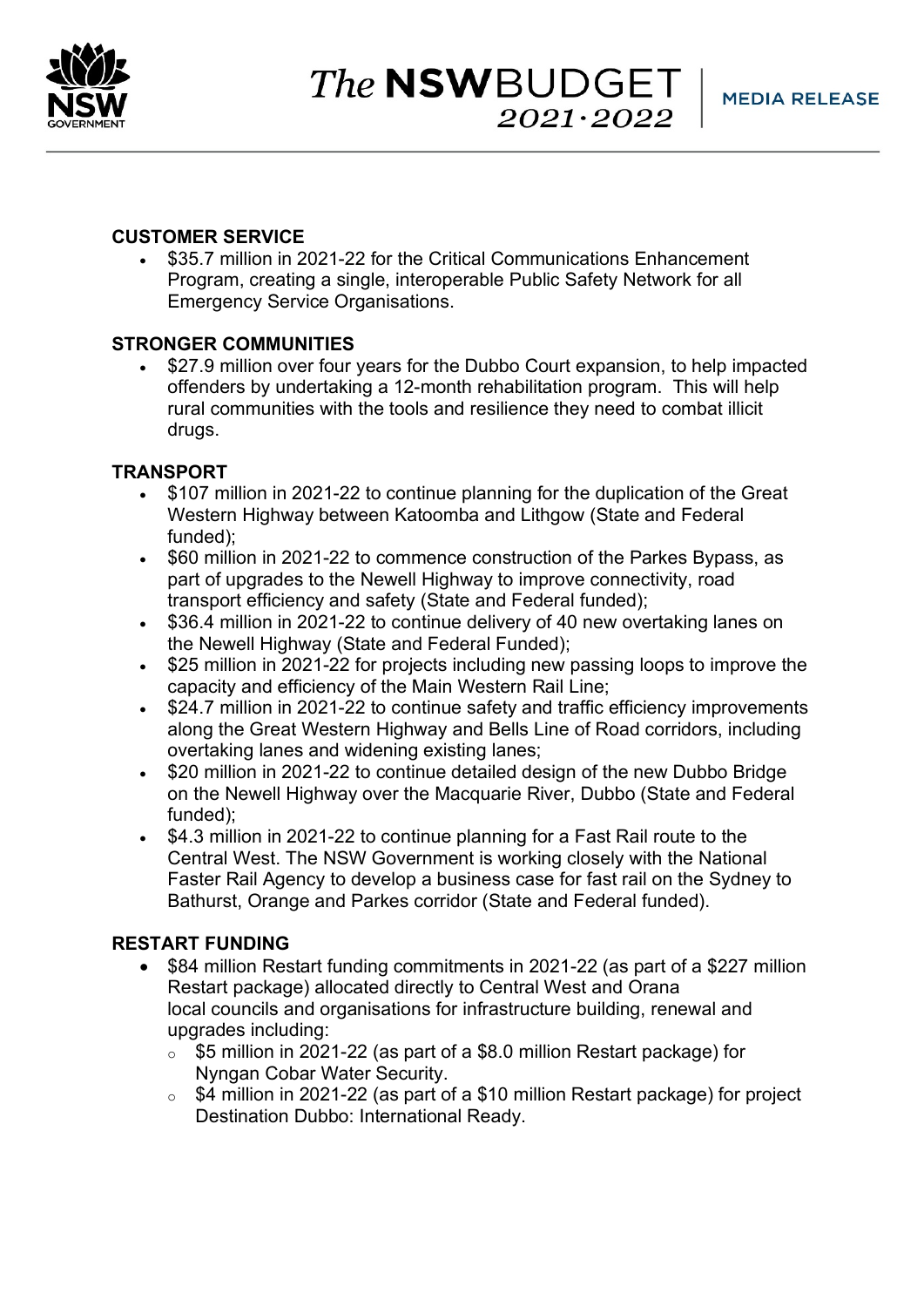

## **CUSTOMER SERVICE**

• \$35.7 million in 2021-22 for the Critical Communications Enhancement Program, creating a single, interoperable Public Safety Network for all Emergency Service Organisations.

## **STRONGER COMMUNITIES**

• \$27.9 million over four years for the Dubbo Court expansion, to help impacted offenders by undertaking a 12-month rehabilitation program. This will help rural communities with the tools and resilience they need to combat illicit drugs.

## **TRANSPORT**

- \$107 million in 2021-22 to continue planning for the duplication of the Great Western Highway between Katoomba and Lithgow (State and Federal funded);
- \$60 million in 2021-22 to commence construction of the Parkes Bypass, as part of upgrades to the Newell Highway to improve connectivity, road transport efficiency and safety (State and Federal funded);
- \$36.4 million in 2021-22 to continue delivery of 40 new overtaking lanes on the Newell Highway (State and Federal Funded);
- \$25 million in 2021-22 for projects including new passing loops to improve the capacity and efficiency of the Main Western Rail Line;
- \$24.7 million in 2021-22 to continue safety and traffic efficiency improvements along the Great Western Highway and Bells Line of Road corridors, including overtaking lanes and widening existing lanes;
- \$20 million in 2021-22 to continue detailed design of the new Dubbo Bridge on the Newell Highway over the Macquarie River, Dubbo (State and Federal funded);
- \$4.3 million in 2021-22 to continue planning for a Fast Rail route to the Central West. The NSW Government is working closely with the National Faster Rail Agency to develop a business case for fast rail on the Sydney to Bathurst, Orange and Parkes corridor (State and Federal funded).

## **RESTART FUNDING**

- \$84 million Restart funding commitments in 2021-22 (as part of a \$227 million Restart package) allocated directly to Central West and Orana local councils and organisations for infrastructure building, renewal and upgrades including:
	- o \$5 million in 2021-22 (as part of a \$8.0 million Restart package) for Nyngan Cobar Water Security.
	- o \$4 million in 2021-22 (as part of a \$10 million Restart package) for project Destination Dubbo: International Ready.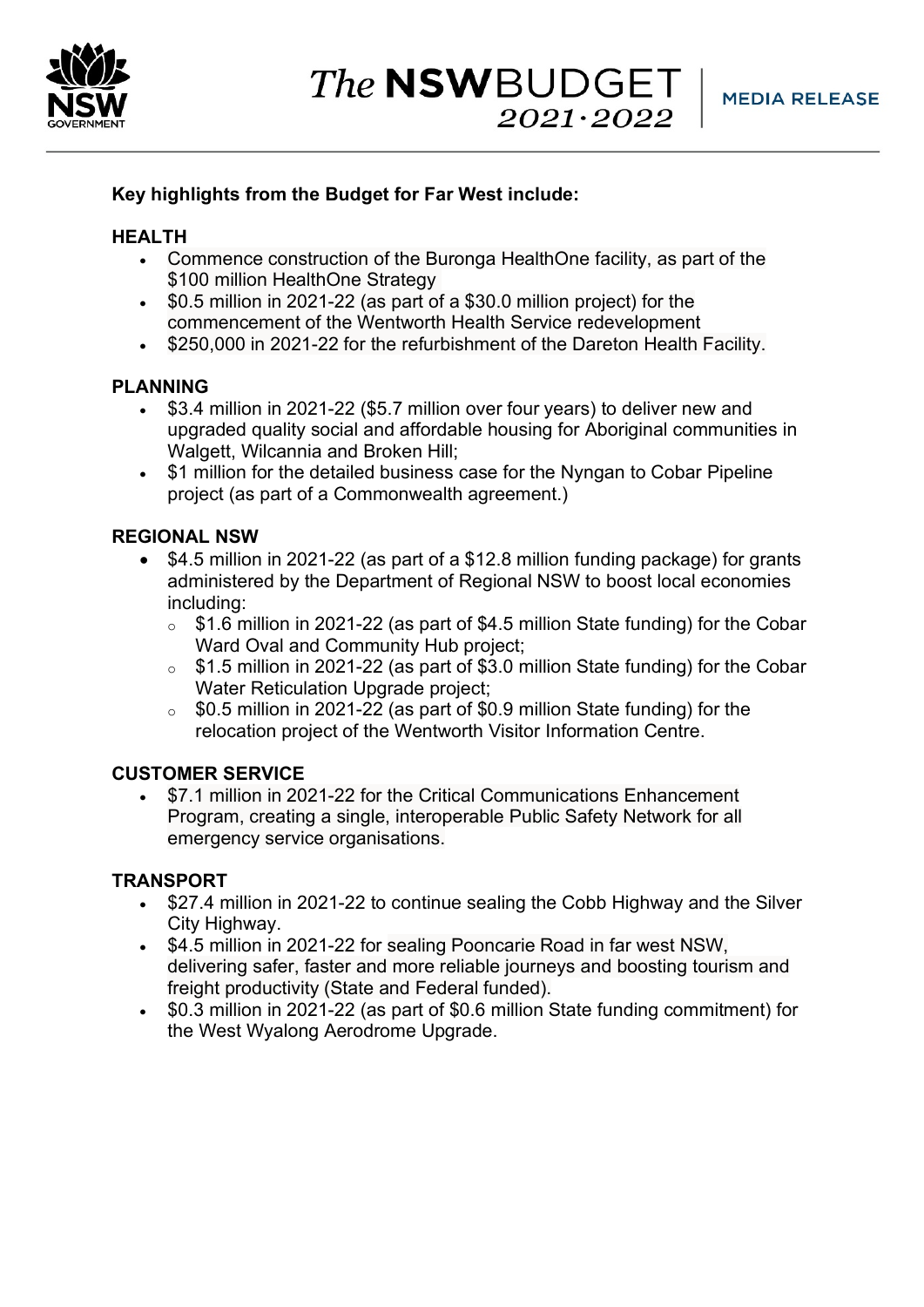

# **Key highlights from the Budget for Far West include:**

## **HEALTH**

- Commence construction of the Buronga HealthOne facility, as part of the \$100 million HealthOne Strategy
- \$0.5 million in 2021-22 (as part of a \$30.0 million project) for the commencement of the Wentworth Health Service redevelopment
- \$250,000 in 2021-22 for the refurbishment of the Dareton Health Facility.

## **PLANNING**

- \$3.4 million in 2021-22 (\$5.7 million over four years) to deliver new and upgraded quality social and affordable housing for Aboriginal communities in Walgett, Wilcannia and Broken Hill;
- \$1 million for the detailed business case for the Nyngan to Cobar Pipeline project (as part of a Commonwealth agreement.)

## **REGIONAL NSW**

- \$4.5 million in 2021-22 (as part of a \$12.8 million funding package) for grants administered by the Department of Regional NSW to boost local economies including:
	- o \$1.6 million in 2021-22 (as part of \$4.5 million State funding) for the Cobar Ward Oval and Community Hub project;
	- o \$1.5 million in 2021-22 (as part of \$3.0 million State funding) for the Cobar Water Reticulation Upgrade project;
	- o \$0.5 million in 2021-22 (as part of \$0.9 million State funding) for the relocation project of the Wentworth Visitor Information Centre.

## **CUSTOMER SERVICE**

• \$7.1 million in 2021-22 for the Critical Communications Enhancement Program, creating a single, interoperable Public Safety Network for all emergency service organisations.

# **TRANSPORT**

- \$27.4 million in 2021-22 to continue sealing the Cobb Highway and the Silver City Highway.
- \$4.5 million in 2021-22 for sealing Pooncarie Road in far west NSW, delivering safer, faster and more reliable journeys and boosting tourism and freight productivity (State and Federal funded).
- \$0.3 million in 2021-22 (as part of \$0.6 million State funding commitment) for the West Wyalong Aerodrome Upgrade.